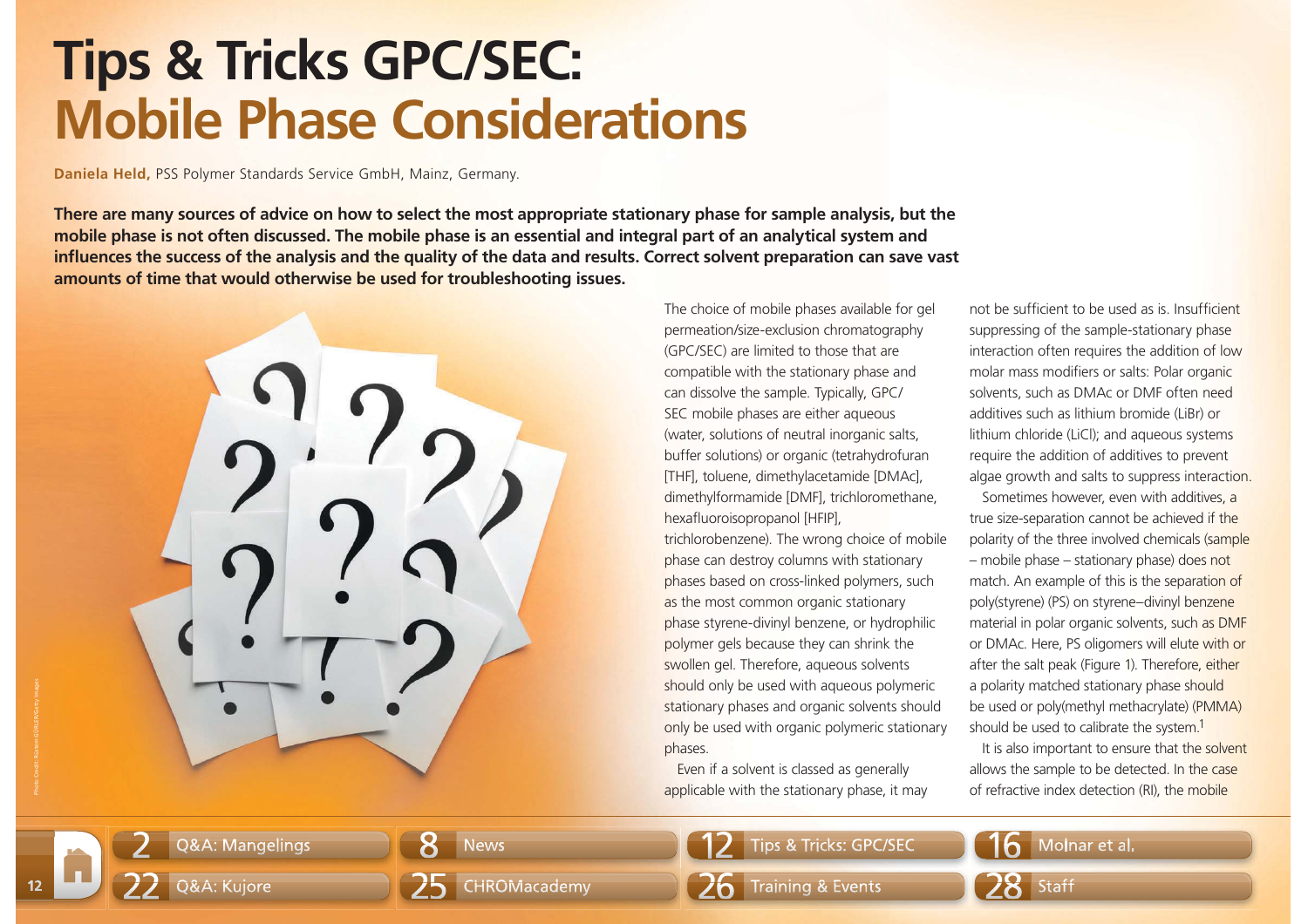## **Tips & Tricks GPC/SEC: Mobile Phase Considerations**

**Daniela Held,** PSS Polymer Standards Service GmbH, Mainz, Germany.

**There are many sources of advice on how to select the most appropriate stationary phase for sample analysis, but the mobile phase is not often discussed. The mobile phase is an essential and integral part of an analytical system and**  influences the success of the analysis and the quality of the data and results. Correct solvent preparation can save vast **amounts of time that would otherwise be used for troubleshooting issues.**



The choice of mobile phases available for gel permeation/size-exclusion chromatography (GPC/SEC) are limited to those that are compatible with the stationary phase and can dissolve the sample. Typically, GPC/ SEC mobile phases are either aqueous (water, solutions of neutral inorganic salts, buffer solutions) or organic (tetrahydrofuran [THF], toluene, dimethylacetamide [DMAc], dimethylformamide [DMF], trichloromethane, hexafluoroisopropanol [HFIP], trichlorobenzene). The wrong choice of mobile phase can destroy columns with stationary phases based on cross-linked polymers, such as the most common organic stationary phase styrene-divinyl benzene, or hydrophilic polymer gels because they can shrink the swollen gel. Therefore, aqueous solvents should only be used with aqueous polymeric stationary phases and organic solvents should only be used with organic polymeric stationary phases.

Even if a solvent is classed as generally applicable with the stationary phase, it may not be sufficient to be used as is. Insufficient suppressing of the sample-stationary phase interaction often requires the addition of low molar mass modifiers or salts: Polar organic solvents, such as DMAc or DMF often need additives such as lithium bromide (LiBr) or lithium chloride (LiCl); and aqueous systems require the addition of additives to prevent algae growth and salts to suppress interaction.

Sometimes however, even with additives, a true size-separation cannot be achieved if the polarity of the three involved chemicals (sample – mobile phase – stationary phase) does not match. An example of this is the separation of poly(styrene) (PS) on styrene–divinyl benzene material in polar organic solvents, such as DMF or DMAc. Here, PS oligomers will elute with or after the salt peak (Figure 1). Therefore, either a polarity matched stationary phase should be used or poly(methyl methacrylate) (PMMA) should be used to calibrate the system.<sup>1</sup>

It is also important to ensure that the solvent allows the sample to be detected. In the case of refractive index detection (RI), the mobile

22

2

**12**



Q&A: Mangelings  $\begin{array}{|c|c|c|c|c|}\n\hline\n\end{array}$  News  $\begin{array}{|c|c|c|c|c|}\n\hline\n\end{array}$  Tips & Tricks: GPC/SEC  $\begin{array}{|c|c|c|c|}\n\hline\n\end{array}$  Molnar et al.



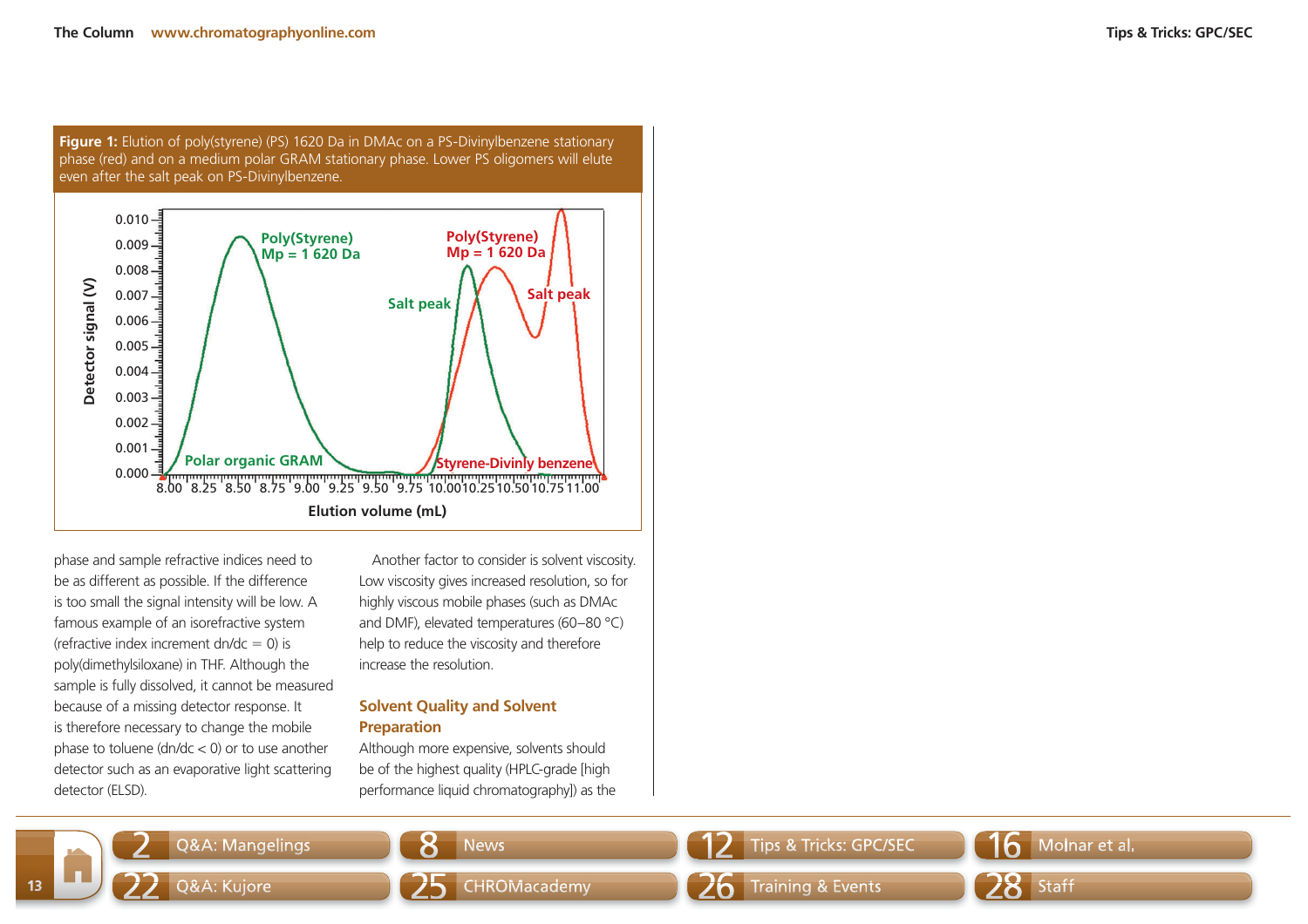**Figure 1:** Elution of poly(styrene) (PS) 1620 Da in DMAc on a PS-Divinylbenzene stationary phase (red) and on a medium polar GRAM stationary phase. Lower PS oligomers will elute even after the salt peak on PS-Divinylbenzene.



phase and sample refractive indices need to be as different as possible. If the difference is too small the signal intensity will be low. A famous example of an isorefractive system (refractive index increment dn/dc =  $0$ ) is poly(dimethylsiloxane) in THF. Although the sample is fully dissolved, it cannot be measured because of a missing detector response. It is therefore necessary to change the mobile phase to toluene ( $dn/dc < 0$ ) or to use another detector such as an evaporative light scattering detector (ELSD).

Another factor to consider is solvent viscosity. Low viscosity gives increased resolution, so for highly viscous mobile phases (such as DMAc and DMF), elevated temperatures (60–80 °C) help to reduce the viscosity and therefore increase the resolution.

## **Solvent Quality and Solvent Preparation**

Although more expensive, solvents should be of the highest quality (HPLC-grade [high performance liquid chromatography]) as the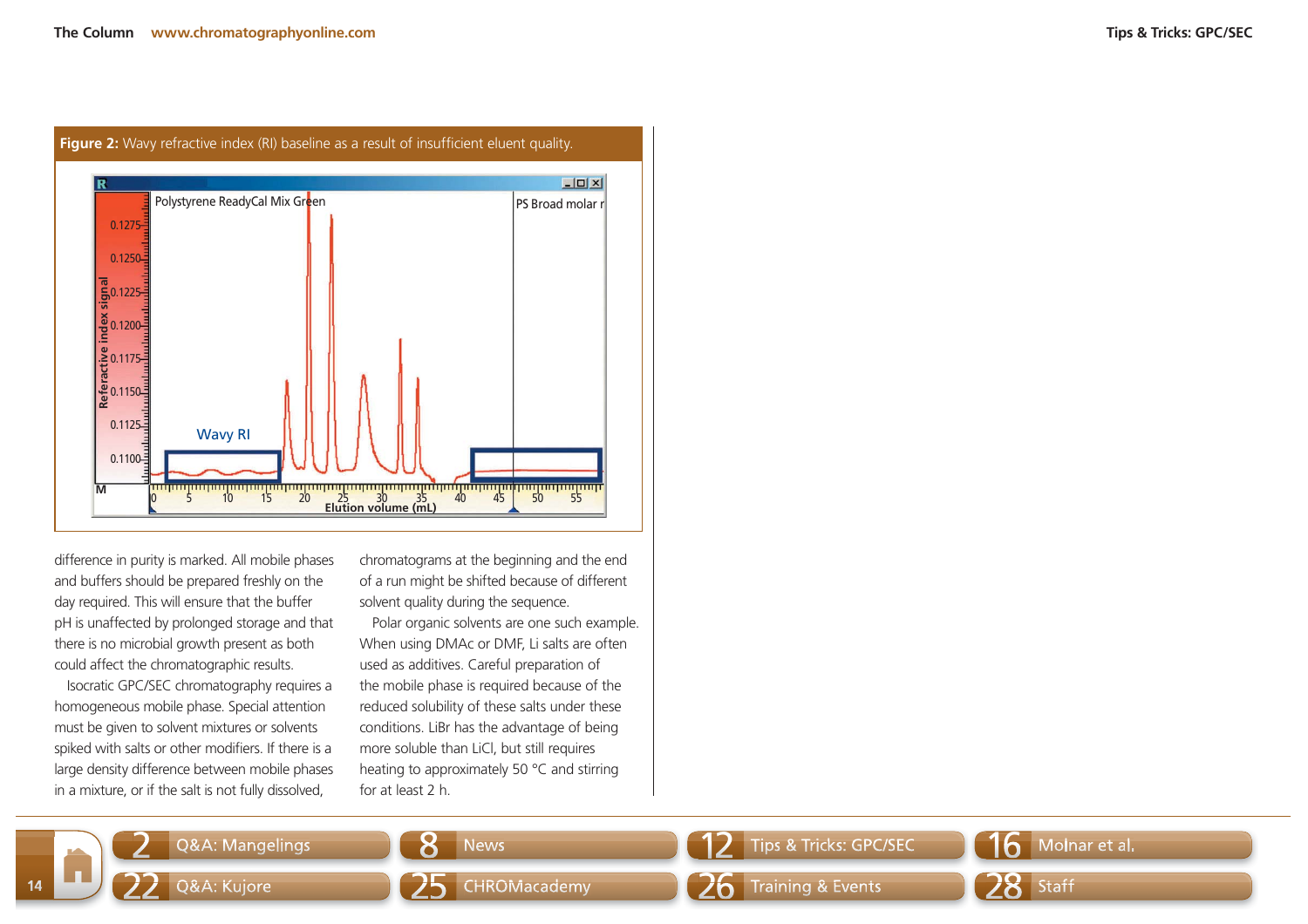

**Figure 2:** Wavy refractive index (RI) baseline as a result of insufficient eluent quality.

difference in purity is marked. All mobile phases and buffers should be prepared freshly on the day required. This will ensure that the buffer pH is unaffected by prolonged storage and that there is no microbial growth present as both could affect the chromatographic results.

Isocratic GPC/SEC chromatography requires a homogeneous mobile phase. Special attention must be given to solvent mixtures or solvents spiked with salts or other modifiers. If there is a large density difference between mobile phases in a mixture, or if the salt is not fully dissolved,

2

22

**14**

chromatograms at the beginning and the end of a run might be shifted because of different solvent quality during the sequence.

Polar organic solvents are one such example. When using DMAc or DMF, Li salts are often used as additives. Careful preparation of the mobile phase is required because of the reduced solubility of these salts under these conditions. LiBr has the advantage of being more soluble than LiCl, but still requires heating to approximately 50 °C and stirring for at least 2 h.

Q&A: Mangelings  $\begin{array}{|c|c|c|c|c|}\n\hline\n\end{array}$   $\begin{array}{|c|c|c|c|c|}\n\hline\n\end{array}$  News  $\begin{array}{|c|c|c|c|}\n\hline\n\end{array}$  Tips & Tricks: GPC/SEC  $\begin{array}{|c|c|c|c|}\n\hline\n\end{array}$  Molnar et al.

Q&A: Kujore **25** CHROMacademy 26 Training & Events 28 Staff